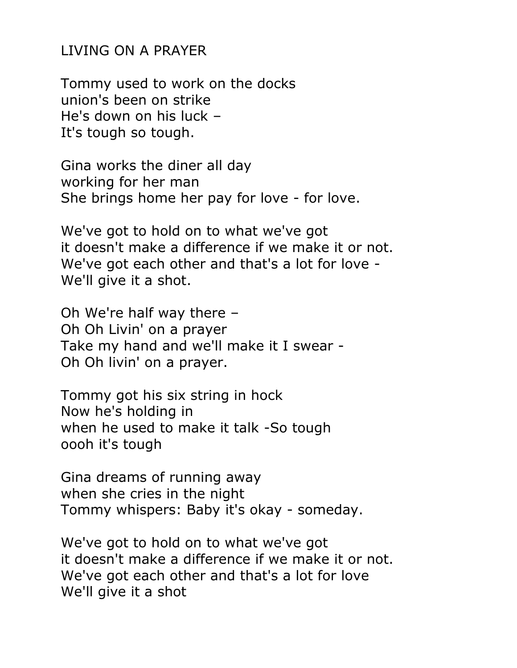LIVING ON A PRAYER

Tommy used to work on the docks union's been on strike He's down on his luck – It's tough so tough.

Gina works the diner all day working for her man She brings home her pay for love - for love.

We've got to hold on to what we've got it doesn't make a difference if we make it or not. We've got each other and that's a lot for love - We'll give it a shot.

Oh We're half way there – Oh Oh Livin' on a prayer Take my hand and we'll make it I swear - Oh Oh livin' on a prayer.

Tommy got his six string in hock Now he's holding in when he used to make it talk -So tough oooh it's tough

Gina dreams of running away when she cries in the night Tommy whispers: Baby it's okay - someday.

We've got to hold on to what we've got it doesn't make a difference if we make it or not. We've got each other and that's a lot for love We'll give it a shot